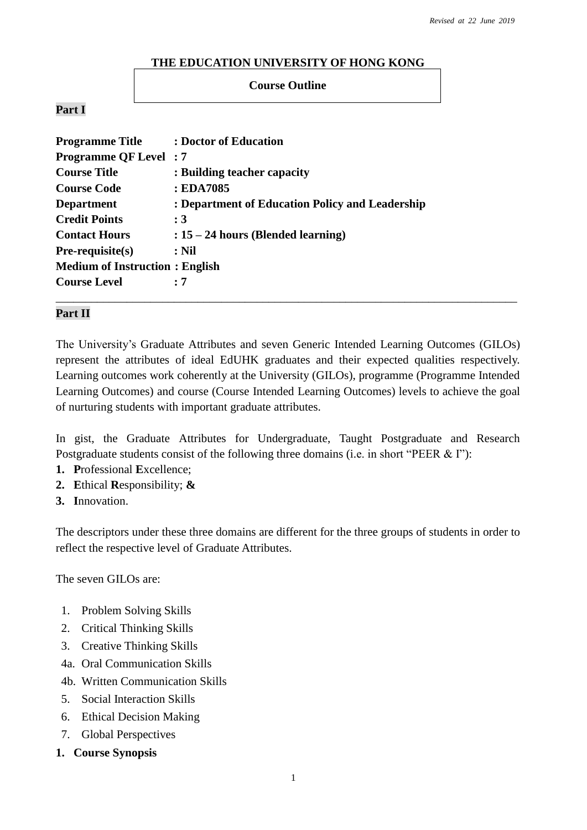#### **THE EDUCATION UNIVERSITY OF HONG KONG**

#### **Course Outline**

#### **Part I**

| <b>Programme Title</b>                | : Doctor of Education                           |
|---------------------------------------|-------------------------------------------------|
| <b>Programme QF Level</b> : 7         |                                                 |
| <b>Course Title</b>                   | : Building teacher capacity                     |
| <b>Course Code</b>                    | : EDA7085                                       |
| <b>Department</b>                     | : Department of Education Policy and Leadership |
| <b>Credit Points</b>                  | $\colon 3$                                      |
| <b>Contact Hours</b>                  | $: 15 - 24$ hours (Blended learning)            |
| $Pre-requisite(s)$                    | $:$ Nil                                         |
| <b>Medium of Instruction: English</b> |                                                 |
| <b>Course Level</b>                   | : 7                                             |
|                                       |                                                 |

#### **Part II**

The University's Graduate Attributes and seven Generic Intended Learning Outcomes (GILOs) represent the attributes of ideal EdUHK graduates and their expected qualities respectively. Learning outcomes work coherently at the University (GILOs), programme (Programme Intended Learning Outcomes) and course (Course Intended Learning Outcomes) levels to achieve the goal of nurturing students with important graduate attributes.

In gist, the Graduate Attributes for Undergraduate, Taught Postgraduate and Research Postgraduate students consist of the following three domains (i.e. in short "PEER & I"):

- **1. P**rofessional **E**xcellence;
- **2. E**thical **R**esponsibility; **&**
- **3. I**nnovation.

The descriptors under these three domains are different for the three groups of students in order to reflect the respective level of Graduate Attributes.

The seven GILOs are:

- 1. Problem Solving Skills
- 2. Critical Thinking Skills
- 3. Creative Thinking Skills
- 4a. Oral Communication Skills
- 4b. Written Communication Skills
- 5. Social Interaction Skills
- 6. Ethical Decision Making
- 7. Global Perspectives
- **1. Course Synopsis**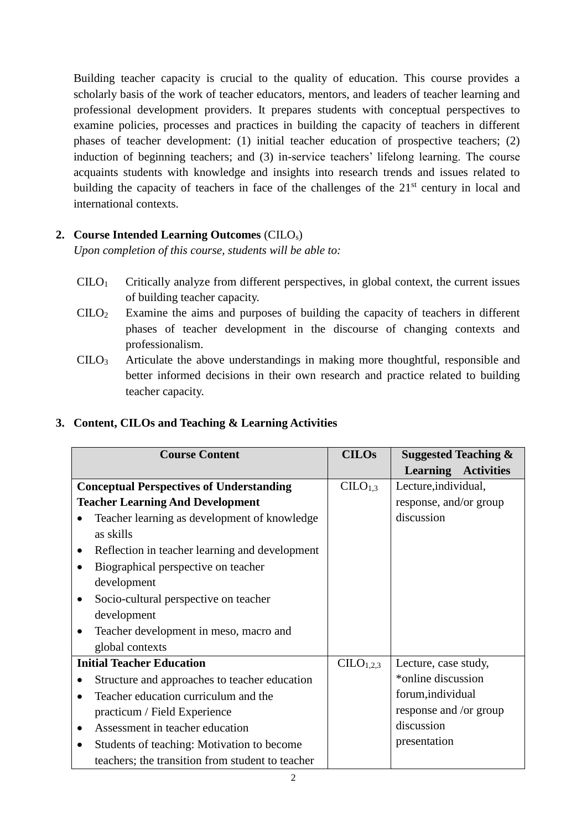Building teacher capacity is crucial to the quality of education. This course provides a scholarly basis of the work of teacher educators, mentors, and leaders of teacher learning and professional development providers. It prepares students with conceptual perspectives to examine policies, processes and practices in building the capacity of teachers in different phases of teacher development: (1) initial teacher education of prospective teachers; (2) induction of beginning teachers; and (3) in-service teachers' lifelong learning. The course acquaints students with knowledge and insights into research trends and issues related to building the capacity of teachers in face of the challenges of the  $21<sup>st</sup>$  century in local and international contexts.

# **2. Course Intended Learning Outcomes** (CILOs)

*Upon completion of this course, students will be able to:*

- $CLLO<sub>1</sub>$  Critically analyze from different perspectives, in global context, the current issues of building teacher capacity.
- CILO<sup>2</sup> Examine the aims and purposes of building the capacity of teachers in different phases of teacher development in the discourse of changing contexts and professionalism.
- CILO<sup>3</sup> Articulate the above understandings in making more thoughtful, responsible and better informed decisions in their own research and practice related to building teacher capacity.

| <b>Course Content</b>                              | <b>CILOs</b>          | <b>Suggested Teaching &amp;</b>      |  |
|----------------------------------------------------|-----------------------|--------------------------------------|--|
|                                                    |                       | <b>Activities</b><br><b>Learning</b> |  |
| <b>Conceptual Perspectives of Understanding</b>    | CLLO <sub>1,3</sub>   | Lecture, individual,                 |  |
| <b>Teacher Learning And Development</b>            |                       | response, and/or group               |  |
| Teacher learning as development of knowledge       |                       | discussion                           |  |
| as skills                                          |                       |                                      |  |
| Reflection in teacher learning and development     |                       |                                      |  |
| Biographical perspective on teacher                |                       |                                      |  |
| development                                        |                       |                                      |  |
| Socio-cultural perspective on teacher<br>$\bullet$ |                       |                                      |  |
| development                                        |                       |                                      |  |
| Teacher development in meso, macro and             |                       |                                      |  |
| global contexts                                    |                       |                                      |  |
| <b>Initial Teacher Education</b>                   | CILO <sub>1,2,3</sub> | Lecture, case study,                 |  |
| Structure and approaches to teacher education      |                       | *online discussion                   |  |
| Teacher education curriculum and the               |                       | forum, individual                    |  |
| practicum / Field Experience                       |                       | response and /or group               |  |
| Assessment in teacher education                    |                       | discussion                           |  |
| Students of teaching: Motivation to become         |                       | presentation                         |  |
| teachers; the transition from student to teacher   |                       |                                      |  |

# **3. Content, CILOs and Teaching & Learning Activities**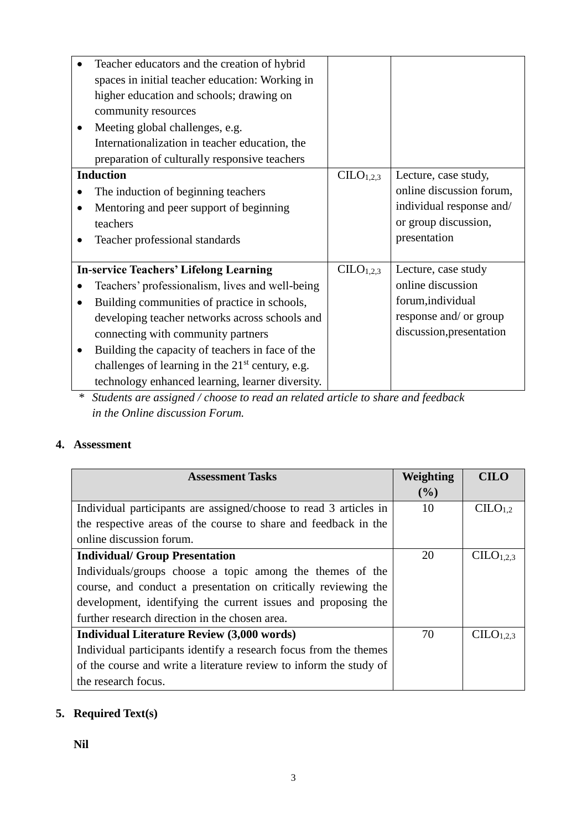| Teacher educators and the creation of hybrid       |                                   |                          |
|----------------------------------------------------|-----------------------------------|--------------------------|
| spaces in initial teacher education: Working in    |                                   |                          |
| higher education and schools; drawing on           |                                   |                          |
| community resources                                |                                   |                          |
| Meeting global challenges, e.g.                    |                                   |                          |
| Internationalization in teacher education, the     |                                   |                          |
| preparation of culturally responsive teachers      |                                   |                          |
| <b>Induction</b>                                   | CILO <sub>1,2,3</sub>             | Lecture, case study,     |
| The induction of beginning teachers                |                                   | online discussion forum, |
| Mentoring and peer support of beginning            |                                   | individual response and/ |
| teachers                                           |                                   | or group discussion,     |
| Teacher professional standards                     |                                   | presentation             |
|                                                    |                                   |                          |
| <b>In-service Teachers' Lifelong Learning</b>      | C <sub>L</sub> O <sub>1,2,3</sub> | Lecture, case study      |
| Teachers' professionalism, lives and well-being    |                                   | online discussion        |
| Building communities of practice in schools,       |                                   | forum, individual        |
| developing teacher networks across schools and     |                                   | response and/ or group   |
| connecting with community partners                 |                                   | discussion, presentation |
| Building the capacity of teachers in face of the   |                                   |                          |
| challenges of learning in the $21st$ century, e.g. |                                   |                          |
| technology enhanced learning, learner diversity.   |                                   |                          |

*\* Students are assigned / choose to read an related article to share and feedback in the Online discussion Forum.* 

# **4. Assessment**

| <b>Assessment Tasks</b>                                            | Weighting | <b>CILO</b>           |
|--------------------------------------------------------------------|-----------|-----------------------|
|                                                                    | $($ %)    |                       |
| Individual participants are assigned/choose to read 3 articles in  | 10        | C <sub>1.2</sub>      |
| the respective areas of the course to share and feedback in the    |           |                       |
| online discussion forum.                                           |           |                       |
| <b>Individual/ Group Presentation</b>                              | 20        | CILO <sub>1,2,3</sub> |
| Individuals/groups choose a topic among the themes of the          |           |                       |
| course, and conduct a presentation on critically reviewing the     |           |                       |
| development, identifying the current issues and proposing the      |           |                       |
| further research direction in the chosen area.                     |           |                       |
| <b>Individual Literature Review (3,000 words)</b>                  | 70        | C <sub>1,2,3</sub>    |
| Individual participants identify a research focus from the themes  |           |                       |
| of the course and write a literature review to inform the study of |           |                       |
| the research focus.                                                |           |                       |

# **5. Required Text(s)**

**Nil**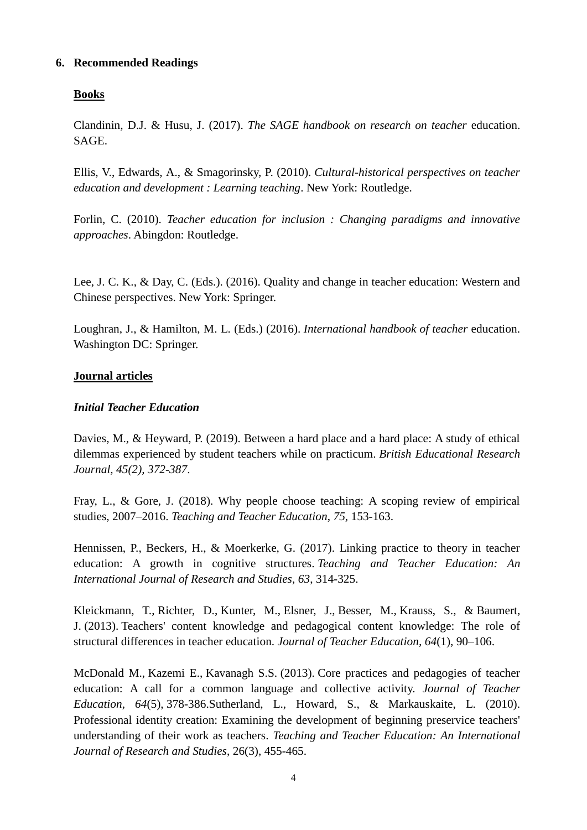# **6. Recommended Readings**

# **Books**

Clandinin, D.J. & Husu, J. (2017). *The SAGE handbook on research on teacher* education. SAGE.

Ellis, V., Edwards, A., & Smagorinsky, P. (2010). *Cultural-historical perspectives on teacher education and development : Learning teaching*. New York: Routledge.

Forlin, C. (2010). *Teacher education for inclusion : Changing paradigms and innovative approaches*. Abingdon: Routledge.

Lee, J. C. K., & Day, C. (Eds.). (2016). Quality and change in teacher education: Western and Chinese perspectives. New York: Springer.

Loughran, J., & Hamilton, M. L. (Eds.) (2016). *International handbook of teacher* education. Washington DC: Springer.

#### **Journal articles**

#### *Initial Teacher Education*

Davies, M., & Heyward, P. (2019). Between a hard place and a hard place: A study of ethical dilemmas experienced by student teachers while on practicum. *British Educational Research Journal, 45(2), 372-387*.

Fray, L., & Gore, J. (2018). Why people choose teaching: A scoping review of empirical studies, 2007–2016. *Teaching and Teacher Education*, *75*, 153-163.

Hennissen, P., Beckers, H., & Moerkerke, G. (2017). Linking practice to theory in teacher education: A growth in cognitive structures. *Teaching and Teacher Education: An International Journal of Research and Studies, 63*, 314-325.

Kleickmann, T., Richter, D., Kunter, M., Elsner, J., Besser, M., Krauss, S., & Baumert, J. (2013). Teachers' content knowledge and pedagogical content knowledge: The role of structural differences in teacher education. *Journal of Teacher Education, 64*(1), 90–106.

McDonald M., Kazemi E., Kavanagh S.S. (2013). Core practices and pedagogies of teacher education: A call for a common language and collective activity. *Journal of Teacher Education, 64*(5), 378-386.Sutherland, L., Howard, S., & Markauskaite, L. (2010). Professional identity creation: Examining the development of beginning preservice teachers' understanding of their work as teachers. *Teaching and Teacher Education: An International Journal of Research and Studies*, 26(3), 455-465.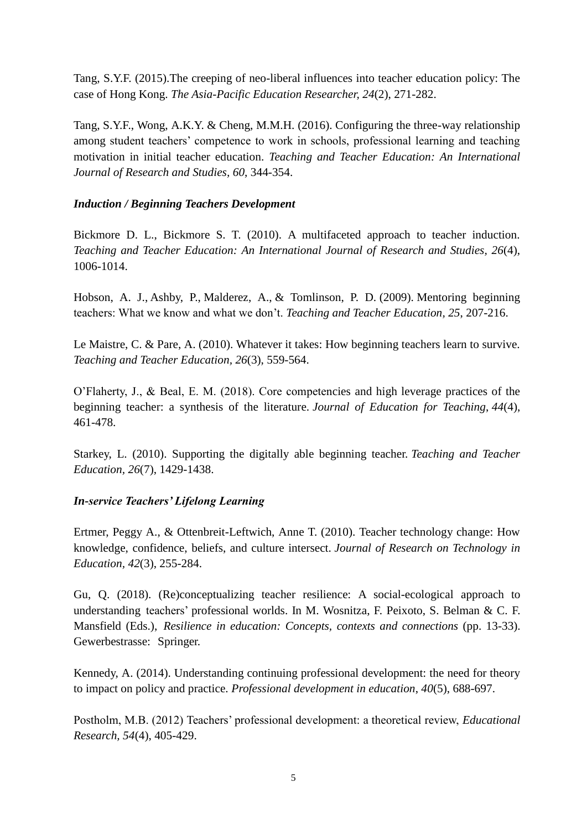Tang, S.Y.F. (2015).The creeping of neo-liberal influences into teacher education policy: The case of Hong Kong. *The Asia-Pacific Education Researcher, 24*(2), 271-282.

Tang, S.Y.F., Wong, A.K.Y. & Cheng, M.M.H. (2016). Configuring the three-way relationship among student teachers' competence to work in schools, professional learning and teaching motivation in initial teacher education. *Teaching and Teacher Education: An International Journal of Research and Studies, 60*, 344-354.

# *Induction / Beginning Teachers Development*

Bickmore D. L., Bickmore S. T. (2010). A multifaceted approach to teacher induction. *Teaching and Teacher Education: An International Journal of Research and Studies, 26*(4), 1006-1014.

Hobson, A. J., Ashby, P., Malderez, A., & Tomlinson, P. D. (2009). Mentoring beginning teachers: What we know and what we don't. *Teaching and Teacher Education, 25*, 207-216.

Le Maistre, C. & Pare, A. (2010). Whatever it takes: How beginning teachers learn to survive. *Teaching and Teacher Education, 26*(3), 559-564.

O'Flaherty, J., & Beal, E. M. (2018). Core competencies and high leverage practices of the beginning teacher: a synthesis of the literature. *Journal of Education for Teaching*, *44*(4), 461-478.

Starkey, L. (2010). Supporting the digitally able beginning teacher. *Teaching and Teacher Education, 26*(7), 1429-1438.

# *In-service Teachers' Lifelong Learning*

Ertmer, Peggy A., & Ottenbreit-Leftwich, Anne T. (2010). Teacher technology change: How knowledge, confidence, beliefs, and culture intersect. *Journal of Research on Technology in Education, 42*(3), 255-284.

Gu, Q. (2018). (Re)conceptualizing teacher resilience: A social-ecological approach to understanding teachers' professional worlds. In M. Wosnitza, F. Peixoto, S. Belman & C. F. Mansfield (Eds.), *Resilience in education: Concepts, contexts and connections* (pp. 13-33). Gewerbestrasse: Springer.

Kennedy, A. (2014). Understanding continuing professional development: the need for theory to impact on policy and practice. *Professional development in education*, *40*(5), 688-697.

Postholm, M.B. (2012) Teachers' professional development: a theoretical review, *Educational Research, 54*(4), 405-429.